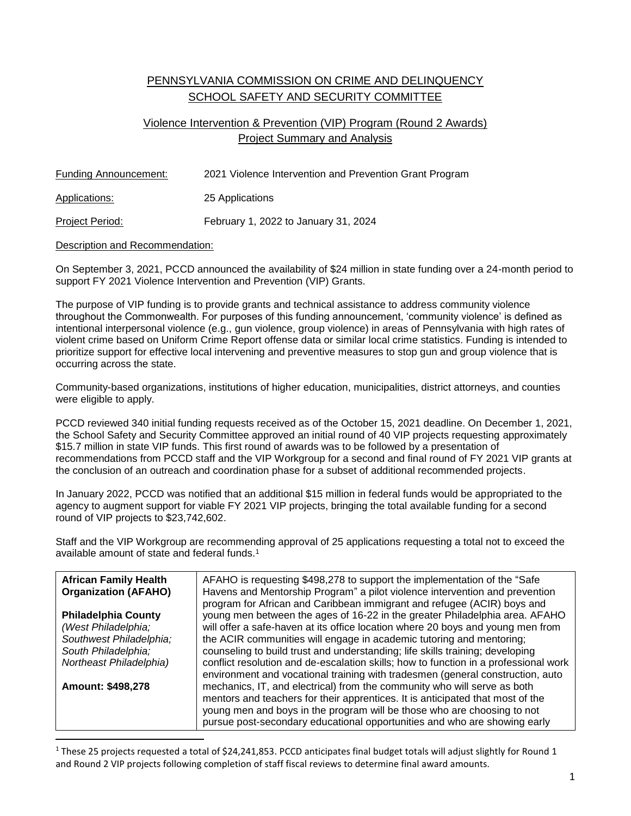## PENNSYLVANIA COMMISSION ON CRIME AND DELINQUENCY SCHOOL SAFETY AND SECURITY COMMITTEE

## Violence Intervention & Prevention (VIP) Program (Round 2 Awards) Project Summary and Analysis

| Funding Announcement: | 2021 Violence Intervention and Prevention Grant Program |
|-----------------------|---------------------------------------------------------|
| <b>Applications:</b>  | 25 Applications                                         |
| Project Period:       | February 1, 2022 to January 31, 2024                    |

## Description and Recommendation:

 $\overline{a}$ 

On September 3, 2021, PCCD announced the availability of \$24 million in state funding over a 24-month period to support FY 2021 Violence Intervention and Prevention (VIP) Grants.

The purpose of VIP funding is to provide grants and technical assistance to address community violence throughout the Commonwealth. For purposes of this funding announcement, 'community violence' is defined as intentional interpersonal violence (e.g., gun violence, group violence) in areas of Pennsylvania with high rates of violent crime based on Uniform Crime Report offense data or similar local crime statistics. Funding is intended to prioritize support for effective local intervening and preventive measures to stop gun and group violence that is occurring across the state.

Community-based organizations, institutions of higher education, municipalities, district attorneys, and counties were eligible to apply.

PCCD reviewed 340 initial funding requests received as of the October 15, 2021 deadline. On December 1, 2021, the School Safety and Security Committee approved an initial round of 40 VIP projects requesting approximately \$15.7 million in state VIP funds. This first round of awards was to be followed by a presentation of recommendations from PCCD staff and the VIP Workgroup for a second and final round of FY 2021 VIP grants at the conclusion of an outreach and coordination phase for a subset of additional recommended projects.

In January 2022, PCCD was notified that an additional \$15 million in federal funds would be appropriated to the agency to augment support for viable FY 2021 VIP projects, bringing the total available funding for a second round of VIP projects to \$23,742,602.

Staff and the VIP Workgroup are recommending approval of 25 applications requesting a total not to exceed the available amount of state and federal funds.<sup>1</sup>

| <b>African Family Health</b><br><b>Organization (AFAHO)</b> | AFAHO is requesting \$498,278 to support the implementation of the "Safe"<br>Havens and Mentorship Program" a pilot violence intervention and prevention<br>program for African and Caribbean immigrant and refugee (ACIR) boys and |
|-------------------------------------------------------------|-------------------------------------------------------------------------------------------------------------------------------------------------------------------------------------------------------------------------------------|
| <b>Philadelphia County</b>                                  | young men between the ages of 16-22 in the greater Philadelphia area. AFAHO                                                                                                                                                         |
| (West Philadelphia;                                         | will offer a safe-haven at its office location where 20 boys and young men from                                                                                                                                                     |
| Southwest Philadelphia;                                     | the ACIR communities will engage in academic tutoring and mentoring;                                                                                                                                                                |
| South Philadelphia;                                         | counseling to build trust and understanding; life skills training; developing                                                                                                                                                       |
| Northeast Philadelphia)                                     | conflict resolution and de-escalation skills; how to function in a professional work<br>environment and vocational training with tradesmen (general construction, auto                                                              |
| Amount: \$498,278                                           | mechanics, IT, and electrical) from the community who will serve as both                                                                                                                                                            |
|                                                             | mentors and teachers for their apprentices. It is anticipated that most of the                                                                                                                                                      |
|                                                             | young men and boys in the program will be those who are choosing to not                                                                                                                                                             |
|                                                             | pursue post-secondary educational opportunities and who are showing early                                                                                                                                                           |

 $1$  These 25 projects requested a total of \$24,241,853. PCCD anticipates final budget totals will adjust slightly for Round 1 and Round 2 VIP projects following completion of staff fiscal reviews to determine final award amounts.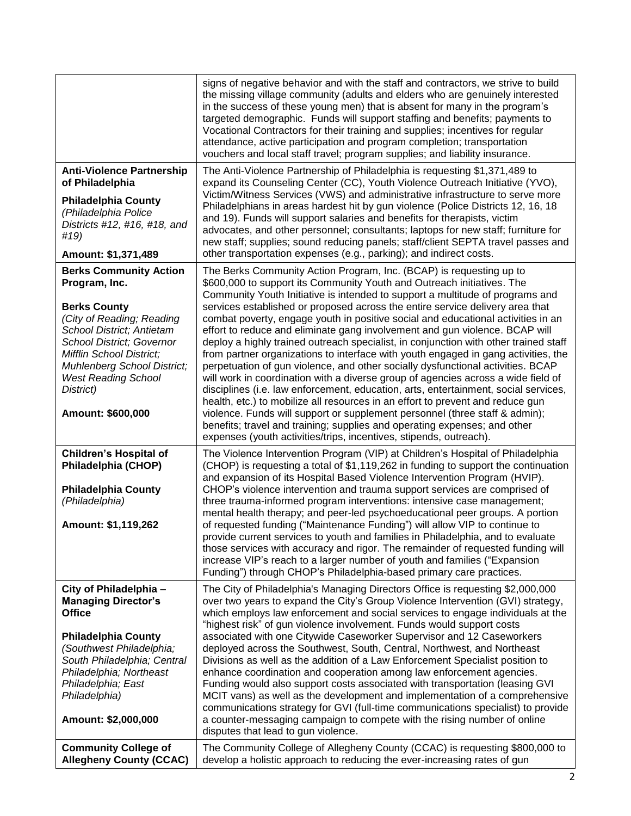|                                                                                                                                                                                                                                                                                                       | signs of negative behavior and with the staff and contractors, we strive to build<br>the missing village community (adults and elders who are genuinely interested<br>in the success of these young men) that is absent for many in the program's<br>targeted demographic. Funds will support staffing and benefits; payments to<br>Vocational Contractors for their training and supplies; incentives for regular<br>attendance, active participation and program completion; transportation<br>vouchers and local staff travel; program supplies; and liability insurance.                                                                                                                                                                                                                                                                                                                                                                                                                                                                                                                                                                                                                                                                        |
|-------------------------------------------------------------------------------------------------------------------------------------------------------------------------------------------------------------------------------------------------------------------------------------------------------|-----------------------------------------------------------------------------------------------------------------------------------------------------------------------------------------------------------------------------------------------------------------------------------------------------------------------------------------------------------------------------------------------------------------------------------------------------------------------------------------------------------------------------------------------------------------------------------------------------------------------------------------------------------------------------------------------------------------------------------------------------------------------------------------------------------------------------------------------------------------------------------------------------------------------------------------------------------------------------------------------------------------------------------------------------------------------------------------------------------------------------------------------------------------------------------------------------------------------------------------------------|
| <b>Anti-Violence Partnership</b><br>of Philadelphia<br><b>Philadelphia County</b><br>(Philadelphia Police<br>Districts #12, #16, #18, and<br>#19)<br>Amount: \$1,371,489                                                                                                                              | The Anti-Violence Partnership of Philadelphia is requesting \$1,371,489 to<br>expand its Counseling Center (CC), Youth Violence Outreach Initiative (YVO),<br>Victim/Witness Services (VWS) and administrative infrastructure to serve more<br>Philadelphians in areas hardest hit by gun violence (Police Districts 12, 16, 18<br>and 19). Funds will support salaries and benefits for therapists, victim<br>advocates, and other personnel; consultants; laptops for new staff; furniture for<br>new staff; supplies; sound reducing panels; staff/client SEPTA travel passes and<br>other transportation expenses (e.g., parking); and indirect costs.                                                                                                                                                                                                                                                                                                                                                                                                                                                                                                                                                                                          |
| <b>Berks Community Action</b><br>Program, Inc.<br><b>Berks County</b><br>(City of Reading; Reading<br><b>School District; Antietam</b><br><b>School District; Governor</b><br>Mifflin School District:<br>Muhlenberg School District;<br><b>West Reading School</b><br>District)<br>Amount: \$600,000 | The Berks Community Action Program, Inc. (BCAP) is requesting up to<br>\$600,000 to support its Community Youth and Outreach initiatives. The<br>Community Youth Initiative is intended to support a multitude of programs and<br>services established or proposed across the entire service delivery area that<br>combat poverty, engage youth in positive social and educational activities in an<br>effort to reduce and eliminate gang involvement and gun violence. BCAP will<br>deploy a highly trained outreach specialist, in conjunction with other trained staff<br>from partner organizations to interface with youth engaged in gang activities, the<br>perpetuation of gun violence, and other socially dysfunctional activities. BCAP<br>will work in coordination with a diverse group of agencies across a wide field of<br>disciplines (i.e. law enforcement, education, arts, entertainment, social services,<br>health, etc.) to mobilize all resources in an effort to prevent and reduce gun<br>violence. Funds will support or supplement personnel (three staff & admin);<br>benefits; travel and training; supplies and operating expenses; and other<br>expenses (youth activities/trips, incentives, stipends, outreach). |
| <b>Children's Hospital of</b><br>Philadelphia (CHOP)<br><b>Philadelphia County</b><br>(Philadelphia)<br>Amount: \$1,119,262                                                                                                                                                                           | The Violence Intervention Program (VIP) at Children's Hospital of Philadelphia<br>(CHOP) is requesting a total of \$1,119,262 in funding to support the continuation<br>and expansion of its Hospital Based Violence Intervention Program (HVIP).<br>CHOP's violence intervention and trauma support services are comprised of<br>three trauma-informed program interventions: intensive case management;<br>mental health therapy; and peer-led psychoeducational peer groups. A portion<br>of requested funding ("Maintenance Funding") will allow VIP to continue to<br>provide current services to youth and families in Philadelphia, and to evaluate<br>those services with accuracy and rigor. The remainder of requested funding will<br>increase VIP's reach to a larger number of youth and families ("Expansion<br>Funding") through CHOP's Philadelphia-based primary care practices.                                                                                                                                                                                                                                                                                                                                                   |
| City of Philadelphia -<br><b>Managing Director's</b><br><b>Office</b><br><b>Philadelphia County</b><br>(Southwest Philadelphia;<br>South Philadelphia; Central<br>Philadelphia; Northeast<br>Philadelphia; East<br>Philadelphia)<br>Amount: \$2,000,000                                               | The City of Philadelphia's Managing Directors Office is requesting \$2,000,000<br>over two years to expand the City's Group Violence Intervention (GVI) strategy,<br>which employs law enforcement and social services to engage individuals at the<br>"highest risk" of gun violence involvement. Funds would support costs<br>associated with one Citywide Caseworker Supervisor and 12 Caseworkers<br>deployed across the Southwest, South, Central, Northwest, and Northeast<br>Divisions as well as the addition of a Law Enforcement Specialist position to<br>enhance coordination and cooperation among law enforcement agencies.<br>Funding would also support costs associated with transportation (leasing GVI<br>MCIT vans) as well as the development and implementation of a comprehensive<br>communications strategy for GVI (full-time communications specialist) to provide<br>a counter-messaging campaign to compete with the rising number of online<br>disputes that lead to gun violence.                                                                                                                                                                                                                                     |
| <b>Community College of</b><br><b>Allegheny County (CCAC)</b>                                                                                                                                                                                                                                         | The Community College of Allegheny County (CCAC) is requesting \$800,000 to<br>develop a holistic approach to reducing the ever-increasing rates of gun                                                                                                                                                                                                                                                                                                                                                                                                                                                                                                                                                                                                                                                                                                                                                                                                                                                                                                                                                                                                                                                                                             |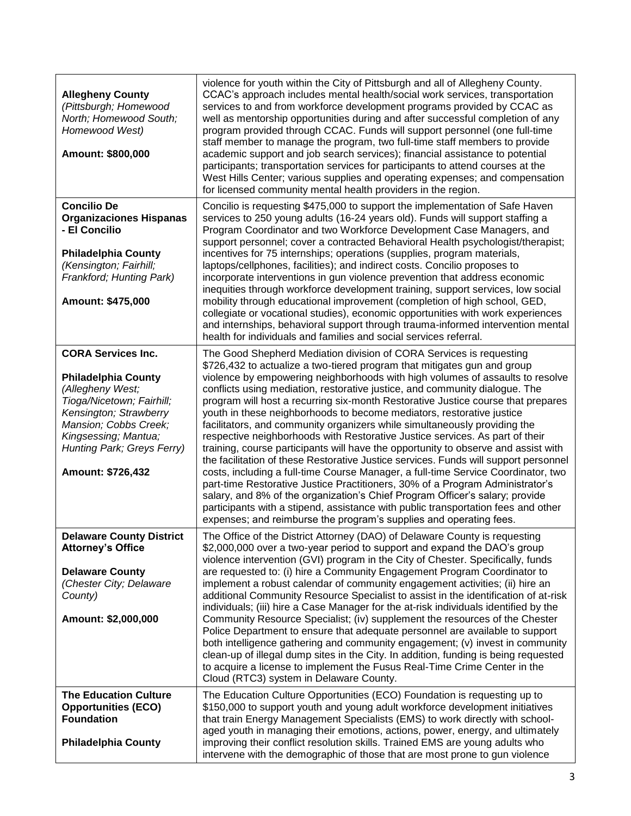| <b>Allegheny County</b><br>(Pittsburgh; Homewood<br>North; Homewood South;<br>Homewood West)<br>Amount: \$800,000                                                                                                                      | violence for youth within the City of Pittsburgh and all of Allegheny County.<br>CCAC's approach includes mental health/social work services, transportation<br>services to and from workforce development programs provided by CCAC as<br>well as mentorship opportunities during and after successful completion of any<br>program provided through CCAC. Funds will support personnel (one full-time<br>staff member to manage the program, two full-time staff members to provide<br>academic support and job search services); financial assistance to potential<br>participants; transportation services for participants to attend courses at the<br>West Hills Center; various supplies and operating expenses; and compensation<br>for licensed community mental health providers in the region.                                                                                                                                                                                                                                                                                                                                                                                                                                |
|----------------------------------------------------------------------------------------------------------------------------------------------------------------------------------------------------------------------------------------|------------------------------------------------------------------------------------------------------------------------------------------------------------------------------------------------------------------------------------------------------------------------------------------------------------------------------------------------------------------------------------------------------------------------------------------------------------------------------------------------------------------------------------------------------------------------------------------------------------------------------------------------------------------------------------------------------------------------------------------------------------------------------------------------------------------------------------------------------------------------------------------------------------------------------------------------------------------------------------------------------------------------------------------------------------------------------------------------------------------------------------------------------------------------------------------------------------------------------------------|
| <b>Concilio De</b><br><b>Organizaciones Hispanas</b><br>- El Concilio<br><b>Philadelphia County</b><br>(Kensington; Fairhill;<br>Frankford; Hunting Park)<br>Amount: \$475,000                                                         | Concilio is requesting \$475,000 to support the implementation of Safe Haven<br>services to 250 young adults (16-24 years old). Funds will support staffing a<br>Program Coordinator and two Workforce Development Case Managers, and<br>support personnel; cover a contracted Behavioral Health psychologist/therapist;<br>incentives for 75 internships; operations (supplies, program materials,<br>laptops/cellphones, facilities); and indirect costs. Concilio proposes to<br>incorporate interventions in gun violence prevention that address economic<br>inequities through workforce development training, support services, low social<br>mobility through educational improvement (completion of high school, GED,<br>collegiate or vocational studies), economic opportunities with work experiences<br>and internships, behavioral support through trauma-informed intervention mental<br>health for individuals and families and social services referral.                                                                                                                                                                                                                                                                |
| <b>CORA Services Inc.</b><br><b>Philadelphia County</b><br>(Allegheny West;<br>Tioga/Nicetown; Fairhill;<br>Kensington; Strawberry<br>Mansion; Cobbs Creek;<br>Kingsessing; Mantua;<br>Hunting Park; Greys Ferry)<br>Amount: \$726,432 | The Good Shepherd Mediation division of CORA Services is requesting<br>\$726,432 to actualize a two-tiered program that mitigates gun and group<br>violence by empowering neighborhoods with high volumes of assaults to resolve<br>conflicts using mediation, restorative justice, and community dialogue. The<br>program will host a recurring six-month Restorative Justice course that prepares<br>youth in these neighborhoods to become mediators, restorative justice<br>facilitators, and community organizers while simultaneously providing the<br>respective neighborhoods with Restorative Justice services. As part of their<br>training, course participants will have the opportunity to observe and assist with<br>the facilitation of these Restorative Justice services. Funds will support personnel<br>costs, including a full-time Course Manager, a full-time Service Coordinator, two<br>part-time Restorative Justice Practitioners, 30% of a Program Administrator's<br>salary, and 8% of the organization's Chief Program Officer's salary; provide<br>participants with a stipend, assistance with public transportation fees and other<br>expenses; and reimburse the program's supplies and operating fees. |
| <b>Delaware County District</b><br><b>Attorney's Office</b><br><b>Delaware County</b><br>(Chester City; Delaware<br>County)<br>Amount: \$2,000,000                                                                                     | The Office of the District Attorney (DAO) of Delaware County is requesting<br>\$2,000,000 over a two-year period to support and expand the DAO's group<br>violence intervention (GVI) program in the City of Chester. Specifically, funds<br>are requested to: (i) hire a Community Engagement Program Coordinator to<br>implement a robust calendar of community engagement activities; (ii) hire an<br>additional Community Resource Specialist to assist in the identification of at-risk<br>individuals; (iii) hire a Case Manager for the at-risk individuals identified by the<br>Community Resource Specialist; (iv) supplement the resources of the Chester<br>Police Department to ensure that adequate personnel are available to support<br>both intelligence gathering and community engagement; (v) invest in community<br>clean-up of illegal dump sites in the City. In addition, funding is being requested<br>to acquire a license to implement the Fusus Real-Time Crime Center in the<br>Cloud (RTC3) system in Delaware County.                                                                                                                                                                                      |
| <b>The Education Culture</b><br><b>Opportunities (ECO)</b><br><b>Foundation</b><br><b>Philadelphia County</b>                                                                                                                          | The Education Culture Opportunities (ECO) Foundation is requesting up to<br>\$150,000 to support youth and young adult workforce development initiatives<br>that train Energy Management Specialists (EMS) to work directly with school-<br>aged youth in managing their emotions, actions, power, energy, and ultimately<br>improving their conflict resolution skills. Trained EMS are young adults who<br>intervene with the demographic of those that are most prone to gun violence                                                                                                                                                                                                                                                                                                                                                                                                                                                                                                                                                                                                                                                                                                                                                 |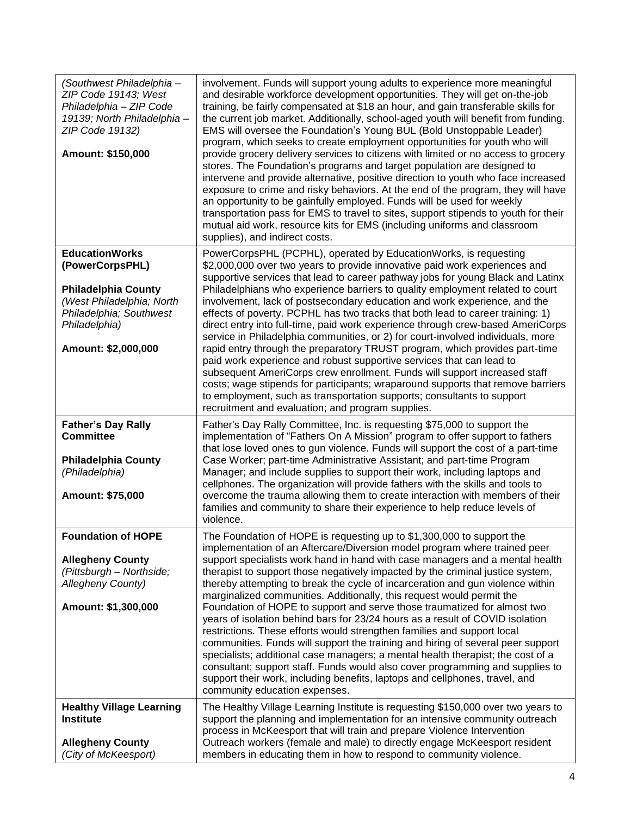| (Southwest Philadelphia -<br>ZIP Code 19143; West<br>Philadelphia - ZIP Code<br>19139; North Philadelphia-<br>ZIP Code 19132)<br>Amount: \$150,000                     | involvement. Funds will support young adults to experience more meaningful<br>and desirable workforce development opportunities. They will get on-the-job<br>training, be fairly compensated at \$18 an hour, and gain transferable skills for<br>the current job market. Additionally, school-aged youth will benefit from funding.<br>EMS will oversee the Foundation's Young BUL (Bold Unstoppable Leader)<br>program, which seeks to create employment opportunities for youth who will<br>provide grocery delivery services to citizens with limited or no access to grocery<br>stores. The Foundation's programs and target population are designed to<br>intervene and provide alternative, positive direction to youth who face increased<br>exposure to crime and risky behaviors. At the end of the program, they will have<br>an opportunity to be gainfully employed. Funds will be used for weekly<br>transportation pass for EMS to travel to sites, support stipends to youth for their<br>mutual aid work, resource kits for EMS (including uniforms and classroom<br>supplies), and indirect costs. |
|------------------------------------------------------------------------------------------------------------------------------------------------------------------------|----------------------------------------------------------------------------------------------------------------------------------------------------------------------------------------------------------------------------------------------------------------------------------------------------------------------------------------------------------------------------------------------------------------------------------------------------------------------------------------------------------------------------------------------------------------------------------------------------------------------------------------------------------------------------------------------------------------------------------------------------------------------------------------------------------------------------------------------------------------------------------------------------------------------------------------------------------------------------------------------------------------------------------------------------------------------------------------------------------------------|
| <b>EducationWorks</b><br>(PowerCorpsPHL)<br><b>Philadelphia County</b><br>(West Philadelphia; North<br>Philadelphia; Southwest<br>Philadelphia)<br>Amount: \$2,000,000 | PowerCorpsPHL (PCPHL), operated by EducationWorks, is requesting<br>\$2,000,000 over two years to provide innovative paid work experiences and<br>supportive services that lead to career pathway jobs for young Black and Latinx<br>Philadelphians who experience barriers to quality employment related to court<br>involvement, lack of postsecondary education and work experience, and the<br>effects of poverty. PCPHL has two tracks that both lead to career training: 1)<br>direct entry into full-time, paid work experience through crew-based AmeriCorps<br>service in Philadelphia communities, or 2) for court-involved individuals, more<br>rapid entry through the preparatory TRUST program, which provides part-time<br>paid work experience and robust supportive services that can lead to<br>subsequent AmeriCorps crew enrollment. Funds will support increased staff<br>costs; wage stipends for participants; wraparound supports that remove barriers<br>to employment, such as transportation supports; consultants to support<br>recruitment and evaluation; and program supplies.        |
| <b>Father's Day Rally</b><br><b>Committee</b><br><b>Philadelphia County</b><br>(Philadelphia)<br>Amount: \$75,000                                                      | Father's Day Rally Committee, Inc. is requesting \$75,000 to support the<br>implementation of "Fathers On A Mission" program to offer support to fathers<br>that lose loved ones to gun violence. Funds will support the cost of a part-time<br>Case Worker; part-time Administrative Assistant; and part-time Program<br>Manager; and include supplies to support their work, including laptops and<br>cellphones. The organization will provide fathers with the skills and tools to<br>overcome the trauma allowing them to create interaction with members of their<br>families and community to share their experience to help reduce levels of<br>violence.                                                                                                                                                                                                                                                                                                                                                                                                                                                    |
| <b>Foundation of HOPE</b><br><b>Allegheny County</b><br>(Pittsburgh - Northside;<br><b>Allegheny County)</b><br>Amount: \$1,300,000                                    | The Foundation of HOPE is requesting up to \$1,300,000 to support the<br>implementation of an Aftercare/Diversion model program where trained peer<br>support specialists work hand in hand with case managers and a mental health<br>therapist to support those negatively impacted by the criminal justice system,<br>thereby attempting to break the cycle of incarceration and gun violence within<br>marginalized communities. Additionally, this request would permit the<br>Foundation of HOPE to support and serve those traumatized for almost two<br>years of isolation behind bars for 23/24 hours as a result of COVID isolation<br>restrictions. These efforts would strengthen families and support local<br>communities. Funds will support the training and hiring of several peer support<br>specialists; additional case managers; a mental health therapist; the cost of a<br>consultant; support staff. Funds would also cover programming and supplies to                                                                                                                                       |
|                                                                                                                                                                        | support their work, including benefits, laptops and cellphones, travel, and<br>community education expenses.                                                                                                                                                                                                                                                                                                                                                                                                                                                                                                                                                                                                                                                                                                                                                                                                                                                                                                                                                                                                         |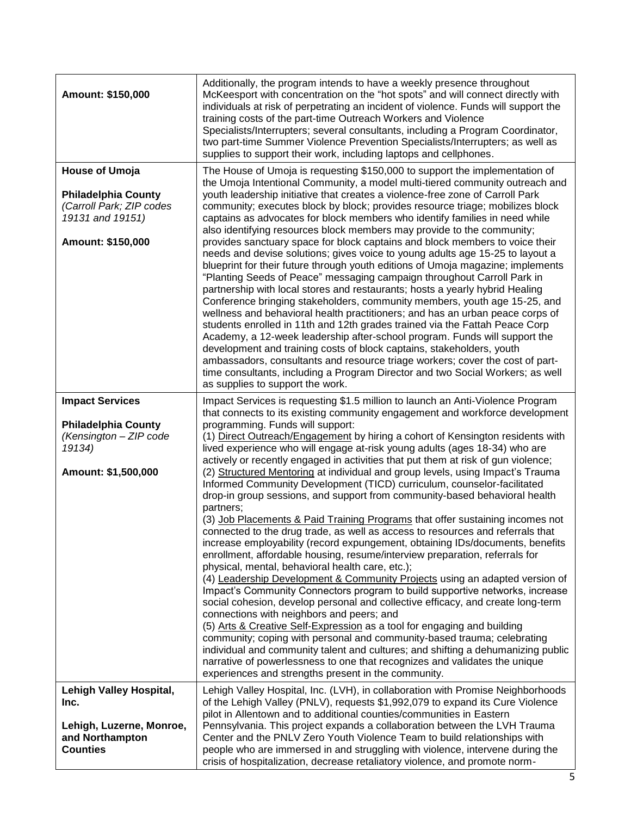| Amount: \$150,000                                                                                                        | Additionally, the program intends to have a weekly presence throughout<br>McKeesport with concentration on the "hot spots" and will connect directly with<br>individuals at risk of perpetrating an incident of violence. Funds will support the<br>training costs of the part-time Outreach Workers and Violence<br>Specialists/Interrupters; several consultants, including a Program Coordinator,<br>two part-time Summer Violence Prevention Specialists/Interrupters; as well as<br>supplies to support their work, including laptops and cellphones.                                                                                                                                                                                                                                                                                                                                                                                                                                                                                                                                                                                                                                                                                                                                                                                                                                                                                                                                                                                                                                                                                                                                                                                                                           |
|--------------------------------------------------------------------------------------------------------------------------|--------------------------------------------------------------------------------------------------------------------------------------------------------------------------------------------------------------------------------------------------------------------------------------------------------------------------------------------------------------------------------------------------------------------------------------------------------------------------------------------------------------------------------------------------------------------------------------------------------------------------------------------------------------------------------------------------------------------------------------------------------------------------------------------------------------------------------------------------------------------------------------------------------------------------------------------------------------------------------------------------------------------------------------------------------------------------------------------------------------------------------------------------------------------------------------------------------------------------------------------------------------------------------------------------------------------------------------------------------------------------------------------------------------------------------------------------------------------------------------------------------------------------------------------------------------------------------------------------------------------------------------------------------------------------------------------------------------------------------------------------------------------------------------|
| <b>House of Umoja</b><br><b>Philadelphia County</b><br>(Carroll Park; ZIP codes<br>19131 and 19151)<br>Amount: \$150,000 | The House of Umoja is requesting \$150,000 to support the implementation of<br>the Umoja Intentional Community, a model multi-tiered community outreach and<br>youth leadership initiative that creates a violence-free zone of Carroll Park<br>community; executes block by block; provides resource triage; mobilizes block<br>captains as advocates for block members who identify families in need while<br>also identifying resources block members may provide to the community;<br>provides sanctuary space for block captains and block members to voice their<br>needs and devise solutions; gives voice to young adults age 15-25 to layout a<br>blueprint for their future through youth editions of Umoja magazine; implements<br>"Planting Seeds of Peace" messaging campaign throughout Carroll Park in<br>partnership with local stores and restaurants; hosts a yearly hybrid Healing<br>Conference bringing stakeholders, community members, youth age 15-25, and<br>wellness and behavioral health practitioners; and has an urban peace corps of<br>students enrolled in 11th and 12th grades trained via the Fattah Peace Corp<br>Academy, a 12-week leadership after-school program. Funds will support the<br>development and training costs of block captains, stakeholders, youth<br>ambassadors, consultants and resource triage workers; cover the cost of part-<br>time consultants, including a Program Director and two Social Workers; as well<br>as supplies to support the work.                                                                                                                                                                                                                                                                     |
| <b>Impact Services</b><br><b>Philadelphia County</b><br>(Kensington - ZIP code<br>19134)<br>Amount: \$1,500,000          | Impact Services is requesting \$1.5 million to launch an Anti-Violence Program<br>that connects to its existing community engagement and workforce development<br>programming. Funds will support:<br>(1) Direct Outreach/Engagement by hiring a cohort of Kensington residents with<br>lived experience who will engage at-risk young adults (ages 18-34) who are<br>actively or recently engaged in activities that put them at risk of gun violence;<br>(2) Structured Mentoring at individual and group levels, using Impact's Trauma<br>Informed Community Development (TICD) curriculum, counselor-facilitated<br>drop-in group sessions, and support from community-based behavioral health<br>partners;<br>(3) Job Placements & Paid Training Programs that offer sustaining incomes not<br>connected to the drug trade, as well as access to resources and referrals that<br>increase employability (record expungement, obtaining IDs/documents, benefits<br>enrollment, affordable housing, resume/interview preparation, referrals for<br>physical, mental, behavioral health care, etc.);<br>(4) Leadership Development & Community Projects using an adapted version of<br>Impact's Community Connectors program to build supportive networks, increase<br>social cohesion, develop personal and collective efficacy, and create long-term<br>connections with neighbors and peers; and<br>(5) Arts & Creative Self-Expression as a tool for engaging and building<br>community; coping with personal and community-based trauma; celebrating<br>individual and community talent and cultures; and shifting a dehumanizing public<br>narrative of powerlessness to one that recognizes and validates the unique<br>experiences and strengths present in the community. |
| <b>Lehigh Valley Hospital,</b><br>Inc.                                                                                   | Lehigh Valley Hospital, Inc. (LVH), in collaboration with Promise Neighborhoods<br>of the Lehigh Valley (PNLV), requests \$1,992,079 to expand its Cure Violence<br>pilot in Allentown and to additional counties/communities in Eastern                                                                                                                                                                                                                                                                                                                                                                                                                                                                                                                                                                                                                                                                                                                                                                                                                                                                                                                                                                                                                                                                                                                                                                                                                                                                                                                                                                                                                                                                                                                                             |
| Lehigh, Luzerne, Monroe,<br>and Northampton<br><b>Counties</b>                                                           | Pennsylvania. This project expands a collaboration between the LVH Trauma<br>Center and the PNLV Zero Youth Violence Team to build relationships with<br>people who are immersed in and struggling with violence, intervene during the<br>crisis of hospitalization, decrease retaliatory violence, and promote norm-                                                                                                                                                                                                                                                                                                                                                                                                                                                                                                                                                                                                                                                                                                                                                                                                                                                                                                                                                                                                                                                                                                                                                                                                                                                                                                                                                                                                                                                                |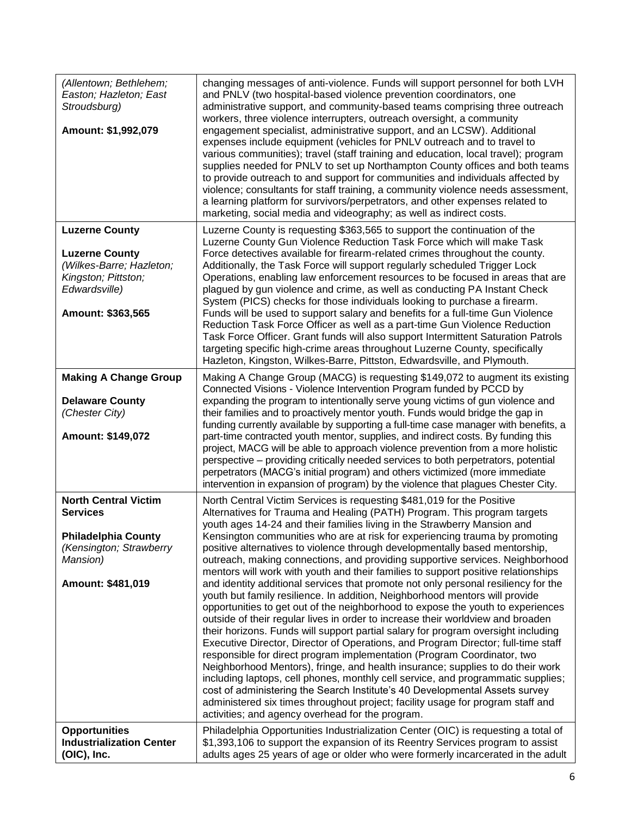| (Allentown; Bethlehem;<br>Easton; Hazleton; East<br>Stroudsburg)<br>Amount: \$1,992,079                                                  | changing messages of anti-violence. Funds will support personnel for both LVH<br>and PNLV (two hospital-based violence prevention coordinators, one<br>administrative support, and community-based teams comprising three outreach<br>workers, three violence interrupters, outreach oversight, a community<br>engagement specialist, administrative support, and an LCSW). Additional<br>expenses include equipment (vehicles for PNLV outreach and to travel to<br>various communities); travel (staff training and education, local travel); program<br>supplies needed for PNLV to set up Northampton County offices and both teams<br>to provide outreach to and support for communities and individuals affected by<br>violence; consultants for staff training, a community violence needs assessment,<br>a learning platform for survivors/perpetrators, and other expenses related to<br>marketing, social media and videography; as well as indirect costs.                                                                                                                                                                                                                                                                                                                                                                                                                                                                                                                                                                                          |
|------------------------------------------------------------------------------------------------------------------------------------------|----------------------------------------------------------------------------------------------------------------------------------------------------------------------------------------------------------------------------------------------------------------------------------------------------------------------------------------------------------------------------------------------------------------------------------------------------------------------------------------------------------------------------------------------------------------------------------------------------------------------------------------------------------------------------------------------------------------------------------------------------------------------------------------------------------------------------------------------------------------------------------------------------------------------------------------------------------------------------------------------------------------------------------------------------------------------------------------------------------------------------------------------------------------------------------------------------------------------------------------------------------------------------------------------------------------------------------------------------------------------------------------------------------------------------------------------------------------------------------------------------------------------------------------------------------------|
| <b>Luzerne County</b><br><b>Luzerne County</b><br>(Wilkes-Barre; Hazleton;<br>Kingston; Pittston;<br>Edwardsville)                       | Luzerne County is requesting \$363,565 to support the continuation of the<br>Luzerne County Gun Violence Reduction Task Force which will make Task<br>Force detectives available for firearm-related crimes throughout the county.<br>Additionally, the Task Force will support regularly scheduled Trigger Lock<br>Operations, enabling law enforcement resources to be focused in areas that are<br>plagued by gun violence and crime, as well as conducting PA Instant Check<br>System (PICS) checks for those individuals looking to purchase a firearm.                                                                                                                                                                                                                                                                                                                                                                                                                                                                                                                                                                                                                                                                                                                                                                                                                                                                                                                                                                                                   |
| Amount: \$363,565                                                                                                                        | Funds will be used to support salary and benefits for a full-time Gun Violence<br>Reduction Task Force Officer as well as a part-time Gun Violence Reduction<br>Task Force Officer. Grant funds will also support Intermittent Saturation Patrols<br>targeting specific high-crime areas throughout Luzerne County, specifically<br>Hazleton, Kingston, Wilkes-Barre, Pittston, Edwardsville, and Plymouth.                                                                                                                                                                                                                                                                                                                                                                                                                                                                                                                                                                                                                                                                                                                                                                                                                                                                                                                                                                                                                                                                                                                                                    |
| <b>Making A Change Group</b><br><b>Delaware County</b><br>(Chester City)<br>Amount: \$149,072                                            | Making A Change Group (MACG) is requesting \$149,072 to augment its existing<br>Connected Visions - Violence Intervention Program funded by PCCD by<br>expanding the program to intentionally serve young victims of gun violence and<br>their families and to proactively mentor youth. Funds would bridge the gap in<br>funding currently available by supporting a full-time case manager with benefits, a<br>part-time contracted youth mentor, supplies, and indirect costs. By funding this<br>project, MACG will be able to approach violence prevention from a more holistic<br>perspective - providing critically needed services to both perpetrators, potential<br>perpetrators (MACG's initial program) and others victimized (more immediate<br>intervention in expansion of program) by the violence that plagues Chester City.                                                                                                                                                                                                                                                                                                                                                                                                                                                                                                                                                                                                                                                                                                                  |
| <b>North Central Victim</b><br><b>Services</b><br><b>Philadelphia County</b><br>(Kensington; Strawberry<br>Mansion)<br>Amount: \$481,019 | North Central Victim Services is requesting \$481,019 for the Positive<br>Alternatives for Trauma and Healing (PATH) Program. This program targets<br>youth ages 14-24 and their families living in the Strawberry Mansion and<br>Kensington communities who are at risk for experiencing trauma by promoting<br>positive alternatives to violence through developmentally based mentorship,<br>outreach, making connections, and providing supportive services. Neighborhood<br>mentors will work with youth and their families to support positive relationships<br>and identity additional services that promote not only personal resiliency for the<br>youth but family resilience. In addition, Neighborhood mentors will provide<br>opportunities to get out of the neighborhood to expose the youth to experiences<br>outside of their regular lives in order to increase their worldview and broaden<br>their horizons. Funds will support partial salary for program oversight including<br>Executive Director, Director of Operations, and Program Director; full-time staff<br>responsible for direct program implementation (Program Coordinator, two<br>Neighborhood Mentors), fringe, and health insurance; supplies to do their work<br>including laptops, cell phones, monthly cell service, and programmatic supplies;<br>cost of administering the Search Institute's 40 Developmental Assets survey<br>administered six times throughout project; facility usage for program staff and<br>activities; and agency overhead for the program. |
| <b>Opportunities</b><br><b>Industrialization Center</b><br>(OIC), Inc.                                                                   | Philadelphia Opportunities Industrialization Center (OIC) is requesting a total of<br>\$1,393,106 to support the expansion of its Reentry Services program to assist<br>adults ages 25 years of age or older who were formerly incarcerated in the adult                                                                                                                                                                                                                                                                                                                                                                                                                                                                                                                                                                                                                                                                                                                                                                                                                                                                                                                                                                                                                                                                                                                                                                                                                                                                                                       |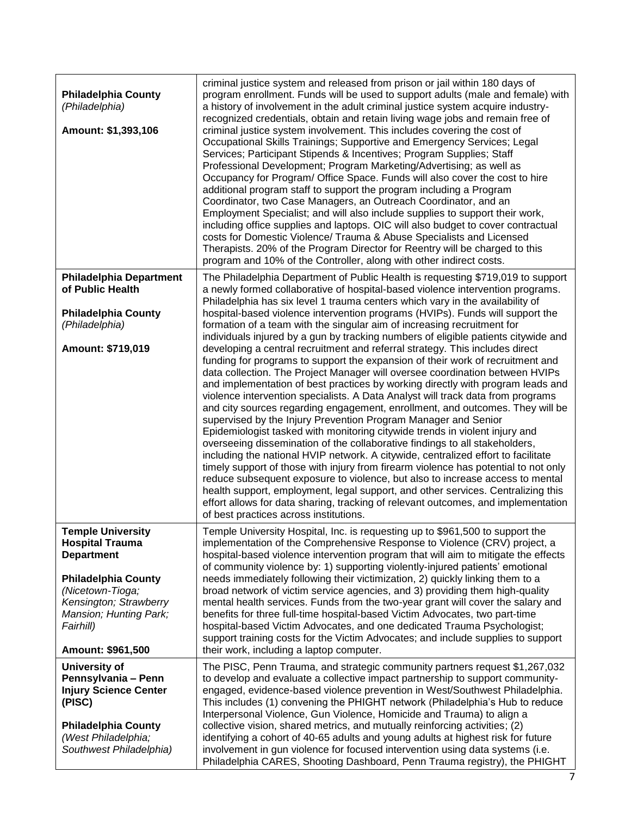| <b>Philadelphia County</b><br>(Philadelphia)<br>Amount: \$1,393,106                                                                                            | criminal justice system and released from prison or jail within 180 days of<br>program enrollment. Funds will be used to support adults (male and female) with<br>a history of involvement in the adult criminal justice system acquire industry-<br>recognized credentials, obtain and retain living wage jobs and remain free of<br>criminal justice system involvement. This includes covering the cost of<br>Occupational Skills Trainings; Supportive and Emergency Services; Legal<br>Services; Participant Stipends & Incentives; Program Supplies; Staff<br>Professional Development; Program Marketing/Advertising; as well as<br>Occupancy for Program/ Office Space. Funds will also cover the cost to hire<br>additional program staff to support the program including a Program<br>Coordinator, two Case Managers, an Outreach Coordinator, and an<br>Employment Specialist; and will also include supplies to support their work,<br>including office supplies and laptops. OIC will also budget to cover contractual<br>costs for Domestic Violence/ Trauma & Abuse Specialists and Licensed<br>Therapists. 20% of the Program Director for Reentry will be charged to this<br>program and 10% of the Controller, along with other indirect costs. |
|----------------------------------------------------------------------------------------------------------------------------------------------------------------|--------------------------------------------------------------------------------------------------------------------------------------------------------------------------------------------------------------------------------------------------------------------------------------------------------------------------------------------------------------------------------------------------------------------------------------------------------------------------------------------------------------------------------------------------------------------------------------------------------------------------------------------------------------------------------------------------------------------------------------------------------------------------------------------------------------------------------------------------------------------------------------------------------------------------------------------------------------------------------------------------------------------------------------------------------------------------------------------------------------------------------------------------------------------------------------------------------------------------------------------------------------------|
| <b>Philadelphia Department</b><br>of Public Health                                                                                                             | The Philadelphia Department of Public Health is requesting \$719,019 to support<br>a newly formed collaborative of hospital-based violence intervention programs.<br>Philadelphia has six level 1 trauma centers which vary in the availability of                                                                                                                                                                                                                                                                                                                                                                                                                                                                                                                                                                                                                                                                                                                                                                                                                                                                                                                                                                                                                 |
| <b>Philadelphia County</b><br>(Philadelphia)                                                                                                                   | hospital-based violence intervention programs (HVIPs). Funds will support the<br>formation of a team with the singular aim of increasing recruitment for<br>individuals injured by a gun by tracking numbers of eligible patients citywide and                                                                                                                                                                                                                                                                                                                                                                                                                                                                                                                                                                                                                                                                                                                                                                                                                                                                                                                                                                                                                     |
| Amount: \$719,019                                                                                                                                              | developing a central recruitment and referral strategy. This includes direct<br>funding for programs to support the expansion of their work of recruitment and<br>data collection. The Project Manager will oversee coordination between HVIPs<br>and implementation of best practices by working directly with program leads and<br>violence intervention specialists. A Data Analyst will track data from programs<br>and city sources regarding engagement, enrollment, and outcomes. They will be<br>supervised by the Injury Prevention Program Manager and Senior<br>Epidemiologist tasked with monitoring citywide trends in violent injury and<br>overseeing dissemination of the collaborative findings to all stakeholders,<br>including the national HVIP network. A citywide, centralized effort to facilitate<br>timely support of those with injury from firearm violence has potential to not only<br>reduce subsequent exposure to violence, but also to increase access to mental<br>health support, employment, legal support, and other services. Centralizing this<br>effort allows for data sharing, tracking of relevant outcomes, and implementation<br>of best practices across institutions.                                              |
| <b>Temple University</b><br><b>Hospital Trauma</b><br><b>Department</b>                                                                                        | Temple University Hospital, Inc. is requesting up to \$961,500 to support the<br>implementation of the Comprehensive Response to Violence (CRV) project, a<br>hospital-based violence intervention program that will aim to mitigate the effects<br>of community violence by: 1) supporting violently-injured patients' emotional                                                                                                                                                                                                                                                                                                                                                                                                                                                                                                                                                                                                                                                                                                                                                                                                                                                                                                                                  |
| <b>Philadelphia County</b><br>(Nicetown-Tioga;                                                                                                                 | needs immediately following their victimization, 2) quickly linking them to a<br>broad network of victim service agencies, and 3) providing them high-quality                                                                                                                                                                                                                                                                                                                                                                                                                                                                                                                                                                                                                                                                                                                                                                                                                                                                                                                                                                                                                                                                                                      |
| Kensington; Strawberry<br>Mansion; Hunting Park;<br>Fairhill)                                                                                                  | mental health services. Funds from the two-year grant will cover the salary and<br>benefits for three full-time hospital-based Victim Advocates, two part-time<br>hospital-based Victim Advocates, and one dedicated Trauma Psychologist;<br>support training costs for the Victim Advocates; and include supplies to support                                                                                                                                                                                                                                                                                                                                                                                                                                                                                                                                                                                                                                                                                                                                                                                                                                                                                                                                      |
| Amount: \$961,500                                                                                                                                              | their work, including a laptop computer.                                                                                                                                                                                                                                                                                                                                                                                                                                                                                                                                                                                                                                                                                                                                                                                                                                                                                                                                                                                                                                                                                                                                                                                                                           |
| University of<br>Pennsylvania - Penn<br><b>Injury Science Center</b><br>(PISC)<br><b>Philadelphia County</b><br>(West Philadelphia;<br>Southwest Philadelphia) | The PISC, Penn Trauma, and strategic community partners request \$1,267,032<br>to develop and evaluate a collective impact partnership to support community-<br>engaged, evidence-based violence prevention in West/Southwest Philadelphia.<br>This includes (1) convening the PHIGHT network (Philadelphia's Hub to reduce<br>Interpersonal Violence, Gun Violence, Homicide and Trauma) to align a<br>collective vision, shared metrics, and mutually reinforcing activities; (2)<br>identifying a cohort of 40-65 adults and young adults at highest risk for future<br>involvement in gun violence for focused intervention using data systems (i.e.                                                                                                                                                                                                                                                                                                                                                                                                                                                                                                                                                                                                           |
|                                                                                                                                                                | Philadelphia CARES, Shooting Dashboard, Penn Trauma registry), the PHIGHT                                                                                                                                                                                                                                                                                                                                                                                                                                                                                                                                                                                                                                                                                                                                                                                                                                                                                                                                                                                                                                                                                                                                                                                          |